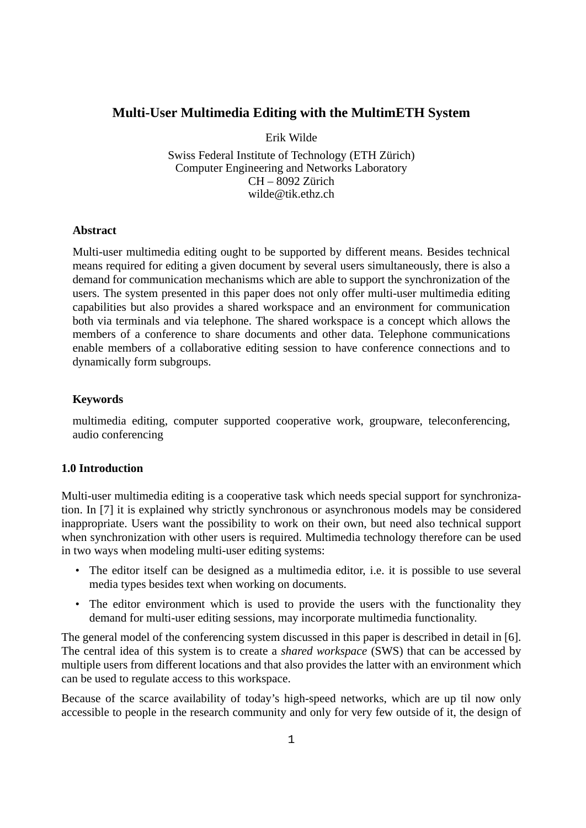# **Multi-User Multimedia Editing with the MultimETH System**

Erik Wilde

Swiss Federal Institute of Technology (ETH Zürich) Computer Engineering and Networks Laboratory CH – 8092 Zürich wilde@tik.ethz.ch

## **Abstract**

Multi-user multimedia editing ought to be supported by different means. Besides technical means required for editing a given document by several users simultaneously, there is also a demand for communication mechanisms which are able to support the synchronization of the users. The system presented in this paper does not only offer multi-user multimedia editing capabilities but also provides a shared workspace and an environment for communication both via terminals and via telephone. The shared workspace is a concept which allows the members of a conference to share documents and other data. Telephone communications enable members of a collaborative editing session to have conference connections and to dynamically form subgroups.

#### **Keywords**

multimedia editing, computer supported cooperative work, groupware, teleconferencing, audio conferencing

## **1.0 Introduction**

Multi-user multimedia editing is a cooperative task which needs special support for synchronization. In [7] it is explained why strictly synchronous or asynchronous models may be considered inappropriate. Users want the possibility to work on their own, but need also technical support when synchronization with other users is required. Multimedia technology therefore can be used in two ways when modeling multi-user editing systems:

- The editor itself can be designed as a multimedia editor, i.e. it is possible to use several media types besides text when working on documents.
- The editor environment which is used to provide the users with the functionality they demand for multi-user editing sessions, may incorporate multimedia functionality.

The general model of the conferencing system discussed in this paper is described in detail in [6]. The central idea of this system is to create a *shared workspace* (SWS) that can be accessed by multiple users from different locations and that also provides the latter with an environment which can be used to regulate access to this workspace.

Because of the scarce availability of today's high-speed networks, which are up til now only accessible to people in the research community and only for very few outside of it, the design of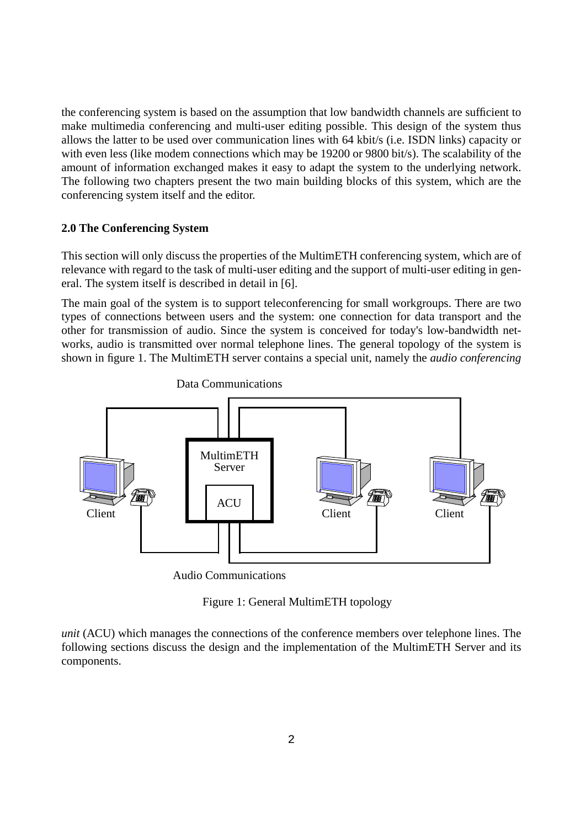the conferencing system is based on the assumption that low bandwidth channels are sufficient to make multimedia conferencing and multi-user editing possible. This design of the system thus allows the latter to be used over communication lines with 64 kbit/s (i.e. ISDN links) capacity or with even less (like modem connections which may be 19200 or 9800 bit/s). The scalability of the amount of information exchanged makes it easy to adapt the system to the underlying network. The following two chapters present the two main building blocks of this system, which are the conferencing system itself and the editor.

## **2.0 The Conferencing System**

This section will only discuss the properties of the MultimETH conferencing system, which are of relevance with regard to the task of multi-user editing and the support of multi-user editing in general. The system itself is described in detail in [6].

The main goal of the system is to support teleconferencing for small workgroups. There are two types of connections between users and the system: one connection for data transport and the other for transmission of audio. Since the system is conceived for today's low-bandwidth networks, audio is transmitted over normal telephone lines. The general topology of the system is shown in figure 1. The MultimETH server contains a special unit, namely the *audio conferencing*



Data Communications

Audio Communications

Figure 1: General MultimETH topology

*unit* (ACU) which manages the connections of the conference members over telephone lines. The following sections discuss the design and the implementation of the MultimETH Server and its components.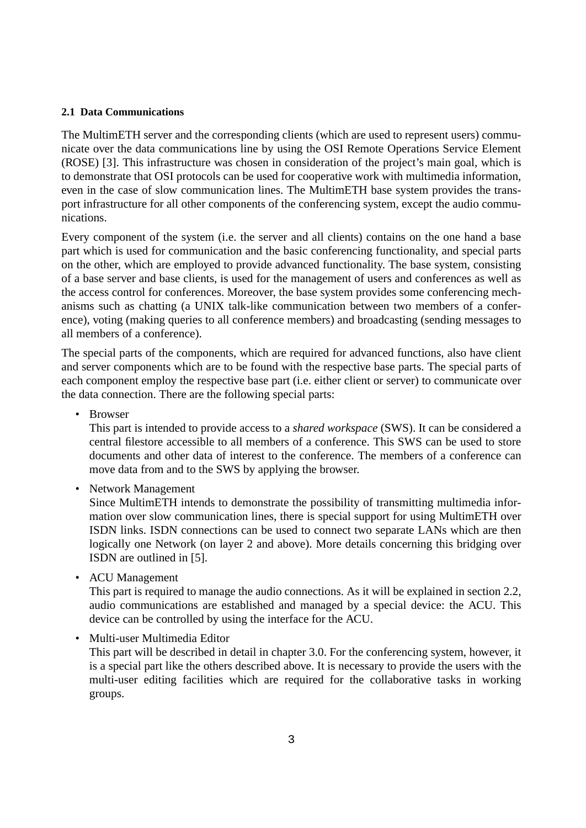## **2.1 Data Communications**

The MultimETH server and the corresponding clients (which are used to represent users) communicate over the data communications line by using the OSI Remote Operations Service Element (ROSE) [3]. This infrastructure was chosen in consideration of the project's main goal, which is to demonstrate that OSI protocols can be used for cooperative work with multimedia information, even in the case of slow communication lines. The MultimETH base system provides the transport infrastructure for all other components of the conferencing system, except the audio communications.

Every component of the system (i.e. the server and all clients) contains on the one hand a base part which is used for communication and the basic conferencing functionality, and special parts on the other, which are employed to provide advanced functionality. The base system, consisting of a base server and base clients, is used for the management of users and conferences as well as the access control for conferences. Moreover, the base system provides some conferencing mechanisms such as chatting (a UNIX talk-like communication between two members of a conference), voting (making queries to all conference members) and broadcasting (sending messages to all members of a conference).

The special parts of the components, which are required for advanced functions, also have client and server components which are to be found with the respective base parts. The special parts of each component employ the respective base part (i.e. either client or server) to communicate over the data connection. There are the following special parts:

• Browser

This part is intended to provide access to a *shared workspace* (SWS). It can be considered a central filestore accessible to all members of a conference. This SWS can be used to store documents and other data of interest to the conference. The members of a conference can move data from and to the SWS by applying the browser.

• Network Management

Since MultimETH intends to demonstrate the possibility of transmitting multimedia information over slow communication lines, there is special support for using MultimETH over ISDN links. ISDN connections can be used to connect two separate LANs which are then logically one Network (on layer 2 and above). More details concerning this bridging over ISDN are outlined in [5].

• ACU Management

This part is required to manage the audio connections. As it will be explained in section [2.2](#page-3-0), audio communications are established and managed by a special device: the ACU. This device can be controlled by using the interface for the ACU.

• Multi-user Multimedia Editor

This part will be described in detail in chapter [3.0](#page-4-0). For the conferencing system, however, it is a special part like the others described above. It is necessary to provide the users with the multi-user editing facilities which are required for the collaborative tasks in working groups.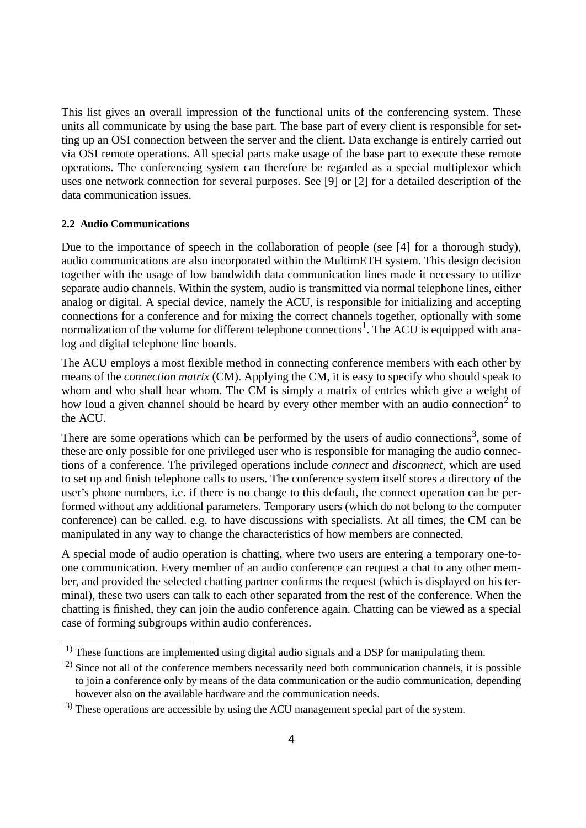<span id="page-3-0"></span>This list gives an overall impression of the functional units of the conferencing system. These units all communicate by using the base part. The base part of every client is responsible for setting up an OSI connection between the server and the client. Data exchange is entirely carried out via OSI remote operations. All special parts make usage of the base part to execute these remote operations. The conferencing system can therefore be regarded as a special multiplexor which uses one network connection for several purposes. See [9] or [2] for a detailed description of the data communication issues.

### **2.2 Audio Communications**

Due to the importance of speech in the collaboration of people (see [4] for a thorough study), audio communications are also incorporated within the MultimETH system. This design decision together with the usage of low bandwidth data communication lines made it necessary to utilize separate audio channels. Within the system, audio is transmitted via normal telephone lines, either analog or digital. A special device, namely the ACU, is responsible for initializing and accepting connections for a conference and for mixing the correct channels together, optionally with some normalization of the volume for different telephone connections<sup>1</sup>. The ACU is equipped with analog and digital telephone line boards.

The ACU employs a most flexible method in connecting conference members with each other by means of the *connection matrix* (CM). Applying the CM, it is easy to specify who should speak to whom and who shall hear whom. The CM is simply a matrix of entries which give a weight of how loud a given channel should be heard by every other member with an audio connection<sup>2</sup> to the ACU.

There are some operations which can be performed by the users of audio connections<sup>3</sup>, some of these are only possible for one privileged user who is responsible for managing the audio connections of a conference. The privileged operations include *connect* and *disconnect,* which are used to set up and finish telephone calls to users. The conference system itself stores a directory of the user's phone numbers, i.e. if there is no change to this default, the connect operation can be performed without any additional parameters. Temporary users (which do not belong to the computer conference) can be called. e.g. to have discussions with specialists. At all times, the CM can be manipulated in any way to change the characteristics of how members are connected.

A special mode of audio operation is chatting, where two users are entering a temporary one-toone communication. Every member of an audio conference can request a chat to any other member, and provided the selected chatting partner confirms the request (which is displayed on his terminal), these two users can talk to each other separated from the rest of the conference. When the chatting is finished, they can join the audio conference again. Chatting can be viewed as a special case of forming subgroups within audio conferences.

<sup>&</sup>lt;sup>1)</sup> These functions are implemented using digital audio signals and a DSP for manipulating them.

 $^{2)}$  Since not all of the conference members necessarily need both communication channels, it is possible to join a conference only by means of the data communication or the audio communication, depending however also on the available hardware and the communication needs.

<sup>&</sup>lt;sup>3)</sup> These operations are accessible by using the ACU management special part of the system.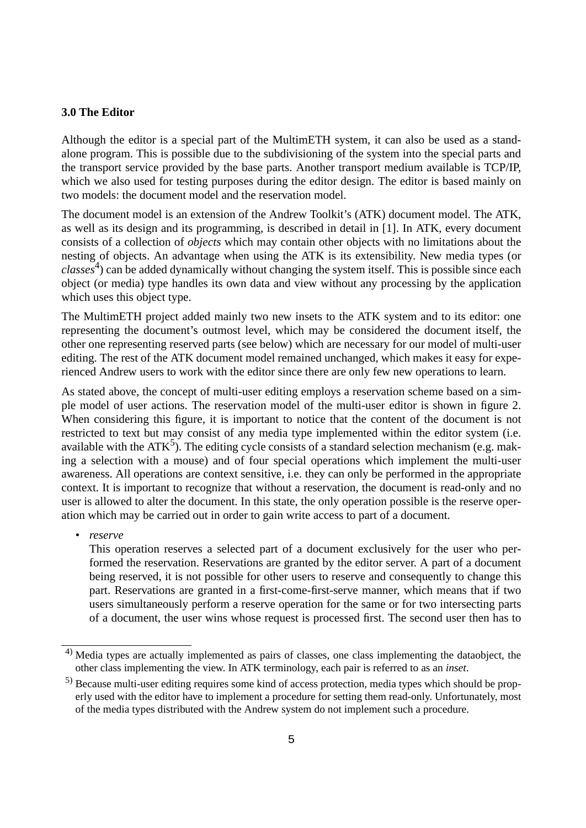## <span id="page-4-0"></span>**3.0 The Editor**

Although the editor is a special part of the MultimETH system, it can also be used as a standalone program. This is possible due to the subdivisioning of the system into the special parts and the transport service provided by the base parts. Another transport medium available is TCP/IP, which we also used for testing purposes during the editor design. The editor is based mainly on two models: the document model and the reservation model.

The document model is an extension of the Andrew Toolkit's (ATK) document model. The ATK, as well as its design and its programming, is described in detail in [1]. In ATK, every document consists of a collection of *objects* which may contain other objects with no limitations about the nesting of objects. An advantage when using the ATK is its extensibility. New media types (or *classes*4) can be added dynamically without changing the system itself. This is possible since each object (or media) type handles its own data and view without any processing by the application which uses this object type.

The MultimETH project added mainly two new insets to the ATK system and to its editor: one representing the document's outmost level, which may be considered the document itself, the other one representing reserved parts (see below) which are necessary for our model of multi-user editing. The rest of the ATK document model remained unchanged, which makes it easy for experienced Andrew users to work with the editor since there are only few new operations to learn.

As stated above, the concept of multi-user editing employs a reservation scheme based on a simple model of user actions. The reservation model of the multi-user editor is shown in figure [2](#page-5-0). When considering this figure, it is important to notice that the content of the document is not restricted to text but may consist of any media type implemented within the editor system (i.e. available with the  $ATK^5$ ). The editing cycle consists of a standard selection mechanism (e.g. making a selection with a mouse) and of four special operations which implement the multi-user awareness. All operations are context sensitive, i.e. they can only be performed in the appropriate context. It is important to recognize that without a reservation, the document is read-only and no user is allowed to alter the document. In this state, the only operation possible is the reserve operation which may be carried out in order to gain write access to part of a document.

*• reserve*

This operation reserves a selected part of a document exclusively for the user who performed the reservation. Reservations are granted by the editor server. A part of a document being reserved, it is not possible for other users to reserve and consequently to change this part. Reservations are granted in a first-come-first-serve manner, which means that if two users simultaneously perform a reserve operation for the same or for two intersecting parts of a document, the user wins whose request is processed first. The second user then has to

<sup>&</sup>lt;sup>4)</sup> Media types are actually implemented as pairs of classes, one class implementing the dataobject, the other class implementing the view. In ATK terminology, each pair is referred to as an *inset*.

<sup>5)</sup> Because multi-user editing requires some kind of access protection, media types which should be properly used with the editor have to implement a procedure for setting them read-only. Unfortunately, most of the media types distributed with the Andrew system do not implement such a procedure.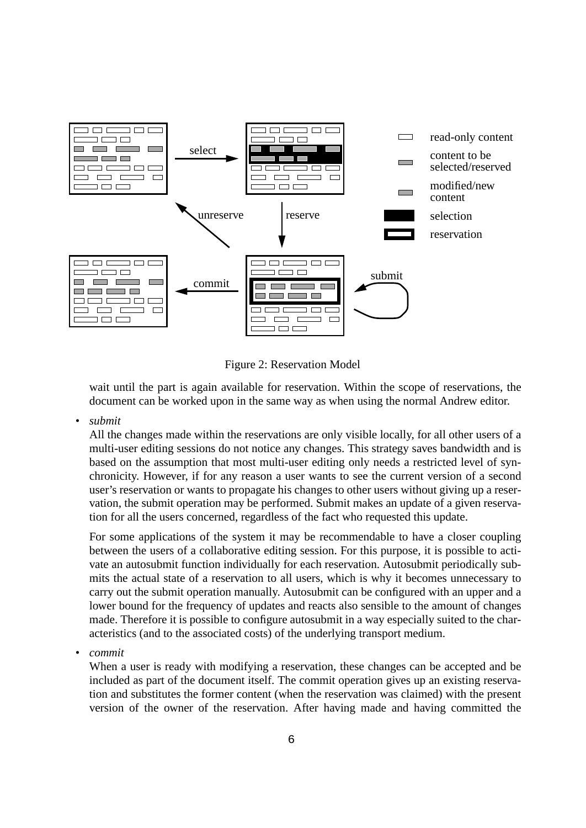<span id="page-5-0"></span>

Figure 2: Reservation Model

wait until the part is again available for reservation. Within the scope of reservations, the document can be worked upon in the same way as when using the normal Andrew editor.

*• submit*

All the changes made within the reservations are only visible locally, for all other users of a multi-user editing sessions do not notice any changes. This strategy saves bandwidth and is based on the assumption that most multi-user editing only needs a restricted level of synchronicity. However, if for any reason a user wants to see the current version of a second user's reservation or wants to propagate his changes to other users without giving up a reservation, the submit operation may be performed. Submit makes an update of a given reservation for all the users concerned, regardless of the fact who requested this update.

For some applications of the system it may be recommendable to have a closer coupling between the users of a collaborative editing session. For this purpose, it is possible to activate an autosubmit function individually for each reservation. Autosubmit periodically submits the actual state of a reservation to all users, which is why it becomes unnecessary to carry out the submit operation manually. Autosubmit can be configured with an upper and a lower bound for the frequency of updates and reacts also sensible to the amount of changes made. Therefore it is possible to configure autosubmit in a way especially suited to the characteristics (and to the associated costs) of the underlying transport medium.

*• commit*

When a user is ready with modifying a reservation, these changes can be accepted and be included as part of the document itself. The commit operation gives up an existing reservation and substitutes the former content (when the reservation was claimed) with the present version of the owner of the reservation. After having made and having committed the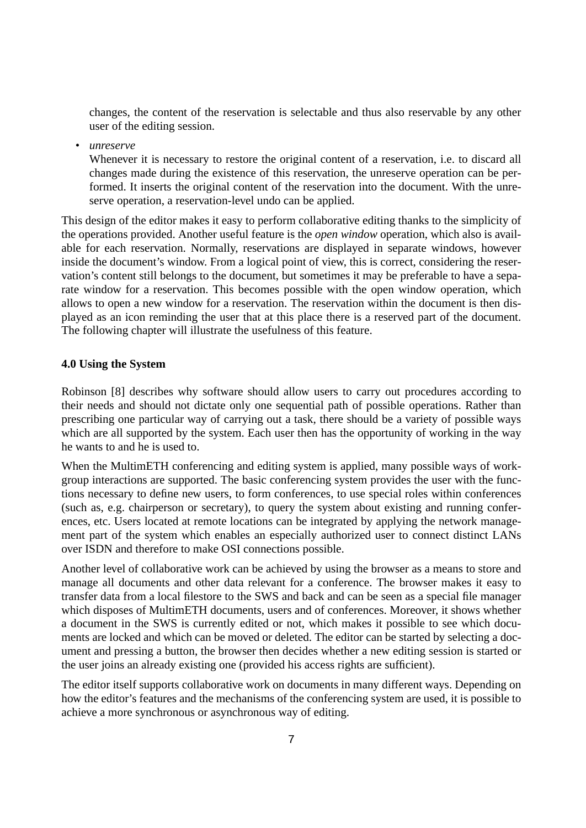changes, the content of the reservation is selectable and thus also reservable by any other user of the editing session.

*• unreserve*

Whenever it is necessary to restore the original content of a reservation, i.e. to discard all changes made during the existence of this reservation, the unreserve operation can be performed. It inserts the original content of the reservation into the document. With the unreserve operation, a reservation-level undo can be applied.

This design of the editor makes it easy to perform collaborative editing thanks to the simplicity of the operations provided. Another useful feature is the *open window* operation, which also is available for each reservation. Normally, reservations are displayed in separate windows, however inside the document's window. From a logical point of view, this is correct, considering the reservation's content still belongs to the document, but sometimes it may be preferable to have a separate window for a reservation. This becomes possible with the open window operation, which allows to open a new window for a reservation. The reservation within the document is then displayed as an icon reminding the user that at this place there is a reserved part of the document. The following chapter will illustrate the usefulness of this feature.

## **4.0 Using the System**

Robinson [8] describes why software should allow users to carry out procedures according to their needs and should not dictate only one sequential path of possible operations. Rather than prescribing one particular way of carrying out a task, there should be a variety of possible ways which are all supported by the system. Each user then has the opportunity of working in the way he wants to and he is used to.

When the MultimETH conferencing and editing system is applied, many possible ways of workgroup interactions are supported. The basic conferencing system provides the user with the functions necessary to define new users, to form conferences, to use special roles within conferences (such as, e.g. chairperson or secretary), to query the system about existing and running conferences, etc. Users located at remote locations can be integrated by applying the network management part of the system which enables an especially authorized user to connect distinct LANs over ISDN and therefore to make OSI connections possible.

Another level of collaborative work can be achieved by using the browser as a means to store and manage all documents and other data relevant for a conference. The browser makes it easy to transfer data from a local filestore to the SWS and back and can be seen as a special file manager which disposes of MultimETH documents, users and of conferences. Moreover, it shows whether a document in the SWS is currently edited or not, which makes it possible to see which documents are locked and which can be moved or deleted. The editor can be started by selecting a document and pressing a button, the browser then decides whether a new editing session is started or the user joins an already existing one (provided his access rights are sufficient).

The editor itself supports collaborative work on documents in many different ways. Depending on how the editor's features and the mechanisms of the conferencing system are used, it is possible to achieve a more synchronous or asynchronous way of editing.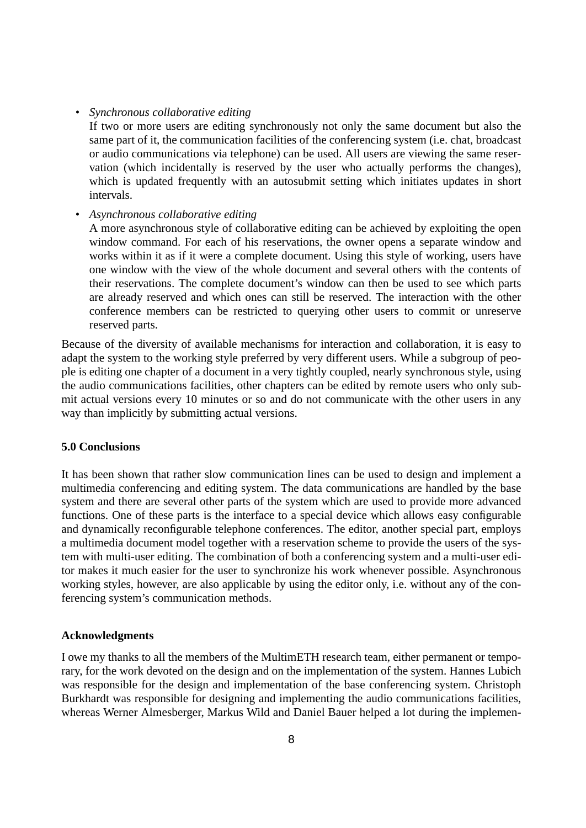*• Synchronous collaborative editing*

If two or more users are editing synchronously not only the same document but also the same part of it, the communication facilities of the conferencing system (i.e. chat, broadcast or audio communications via telephone) can be used. All users are viewing the same reservation (which incidentally is reserved by the user who actually performs the changes), which is updated frequently with an autosubmit setting which initiates updates in short intervals.

*• Asynchronous collaborative editing*

A more asynchronous style of collaborative editing can be achieved by exploiting the open window command. For each of his reservations, the owner opens a separate window and works within it as if it were a complete document. Using this style of working, users have one window with the view of the whole document and several others with the contents of their reservations. The complete document's window can then be used to see which parts are already reserved and which ones can still be reserved. The interaction with the other conference members can be restricted to querying other users to commit or unreserve reserved parts.

Because of the diversity of available mechanisms for interaction and collaboration, it is easy to adapt the system to the working style preferred by very different users. While a subgroup of people is editing one chapter of a document in a very tightly coupled, nearly synchronous style, using the audio communications facilities, other chapters can be edited by remote users who only submit actual versions every 10 minutes or so and do not communicate with the other users in any way than implicitly by submitting actual versions.

## **5.0 Conclusions**

It has been shown that rather slow communication lines can be used to design and implement a multimedia conferencing and editing system. The data communications are handled by the base system and there are several other parts of the system which are used to provide more advanced functions. One of these parts is the interface to a special device which allows easy configurable and dynamically reconfigurable telephone conferences. The editor, another special part, employs a multimedia document model together with a reservation scheme to provide the users of the system with multi-user editing. The combination of both a conferencing system and a multi-user editor makes it much easier for the user to synchronize his work whenever possible. Asynchronous working styles, however, are also applicable by using the editor only, i.e. without any of the conferencing system's communication methods.

#### **Acknowledgments**

I owe my thanks to all the members of the MultimETH research team, either permanent or temporary, for the work devoted on the design and on the implementation of the system. Hannes Lubich was responsible for the design and implementation of the base conferencing system. Christoph Burkhardt was responsible for designing and implementing the audio communications facilities, whereas Werner Almesberger, Markus Wild and Daniel Bauer helped a lot during the implemen-